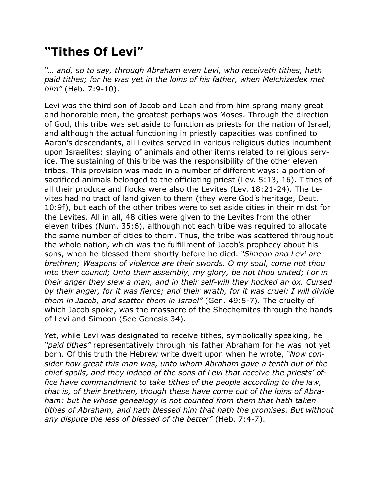## **"Tithes Of Levi"**

*"… and, so to say, through Abraham even Levi, who receiveth tithes, hath*  paid tithes; for he was yet in the loins of his father, when Melchizedek met *him"* (Heb. 7:9-10).

Levi was the third son of Jacob and Leah and from him sprang many great and honorable men, the greatest perhaps was Moses. Through the direction of God, this tribe was set aside to function as priests for the nation of Israel, and although the actual functioning in priestly capacities was confined to Aaron's descendants, all Levites served in various religious duties incumbent upon Israelites: slaying of animals and other items related to religious service. The sustaining of this tribe was the responsibility of the other eleven tribes. This provision was made in a number of different ways: a portion of sacrificed animals belonged to the officiating priest (Lev. 5:13, 16). Tithes of all their produce and flocks were also the Levites (Lev. 18:21-24). The Levites had no tract of land given to them (they were God's heritage, Deut. 10:9f), but each of the other tribes were to set aside cities in their midst for the Levites. All in all, 48 cities were given to the Levites from the other eleven tribes (Num. 35:6), although not each tribe was required to allocate the same number of cities to them. Thus, the tribe was scattered throughout the whole nation, which was the fulfillment of Jacob's prophecy about his sons, when he blessed them shortly before he died. *"Simeon and Levi are brethren; Weapons of violence are their swords. O my soul, come not thou into their council; Unto their assembly, my glory, be not thou united; For in their anger they slew a man, and in their self-will they hocked an ox. Cursed by their anger, for it was fierce; and their wrath, for it was cruel: I will divide them in Jacob, and scatter them in Israel"* (Gen. 49:5-7). The cruelty of which Jacob spoke, was the massacre of the Shechemites through the hands of Levi and Simeon (See Genesis 34).

Yet, while Levi was designated to receive tithes, symbolically speaking, he *"paid tithes"* representatively through his father Abraham for he was not yet born. Of this truth the Hebrew write dwelt upon when he wrote, *"Now consider how great this man was, unto whom Abraham gave a tenth out of the chief spoils, and they indeed of the sons of Levi that receive the priests' office have commandment to take tithes of the people according to the law, that is, of their brethren, though these have come out of the loins of Abraham: but he whose genealogy is not counted from them that hath taken tithes of Abraham, and hath blessed him that hath the promises. But without any dispute the less of blessed of the better"* (Heb. 7:4-7).